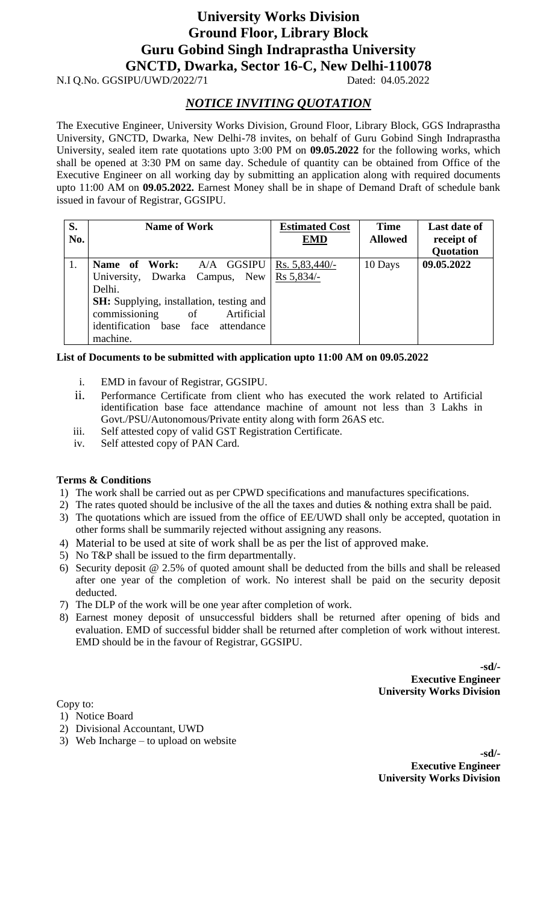## **University Works Division Ground Floor, Library Block Guru Gobind Singh Indraprastha University GNCTD, Dwarka, Sector 16-C, New Delhi-110078**

N.I Q.No. GGSIPU/UWD/2022/71 Dated: 04.05.2022

### *NOTICE INVITING QUOTATION*

The Executive Engineer, University Works Division, Ground Floor, Library Block, GGS Indraprastha University, GNCTD, Dwarka, New Delhi-78 invites, on behalf of Guru Gobind Singh Indraprastha University, sealed item rate quotations upto 3:00 PM on **09.05.2022** for the following works, which shall be opened at 3:30 PM on same day. Schedule of quantity can be obtained from Office of the Executive Engineer on all working day by submitting an application along with required documents upto 11:00 AM on **09.05.2022.** Earnest Money shall be in shape of Demand Draft of schedule bank issued in favour of Registrar, GGSIPU.

| S.<br>No. | <b>Name of Work</b>                                                                                                                                                                                               | <b>Estimated Cost</b><br><b>EMD</b> | <b>Time</b><br><b>Allowed</b> | <b>Last date of</b><br>receipt of<br><b>Quotation</b> |
|-----------|-------------------------------------------------------------------------------------------------------------------------------------------------------------------------------------------------------------------|-------------------------------------|-------------------------------|-------------------------------------------------------|
|           | Name of Work: A/A GGSIPU<br>University, Dwarka Campus, New<br>Delhi.<br><b>SH:</b> Supplying, installation, testing and<br>commissioning<br>Artificial<br>- of<br>identification base face attendance<br>machine. | Rs. $5,83,440/-$<br>$Rs\,5,834/-$   | 10 Days                       | 09.05.2022                                            |

#### **List of Documents to be submitted with application upto 11:00 AM on 09.05.2022**

- i. EMD in favour of Registrar, GGSIPU.
- ii. Performance Certificate from client who has executed the work related to Artificial identification base face attendance machine of amount not less than 3 Lakhs in Govt./PSU/Autonomous/Private entity along with form 26AS etc.
- iii. Self attested copy of valid GST Registration Certificate.
- iv. Self attested copy of PAN Card.

#### **Terms & Conditions**

- 1) The work shall be carried out as per CPWD specifications and manufactures specifications.
- 2) The rates quoted should be inclusive of the all the taxes and duties & nothing extra shall be paid.
- 3) The quotations which are issued from the office of EE/UWD shall only be accepted, quotation in other forms shall be summarily rejected without assigning any reasons.
- 4) Material to be used at site of work shall be as per the list of approved make.
- 5) No T&P shall be issued to the firm departmentally.
- 6) Security deposit @ 2.5% of quoted amount shall be deducted from the bills and shall be released after one year of the completion of work. No interest shall be paid on the security deposit deducted.
- 7) The DLP of the work will be one year after completion of work.
- 8) Earnest money deposit of unsuccessful bidders shall be returned after opening of bids and evaluation. EMD of successful bidder shall be returned after completion of work without interest. EMD should be in the favour of Registrar, GGSIPU.

**-sd/- Executive Engineer University Works Division** 

Copy to:

- 1) Notice Board
- 2) Divisional Accountant, UWD
- 3) Web Incharge to upload on website

**-sd/- Executive Engineer University Works Division**